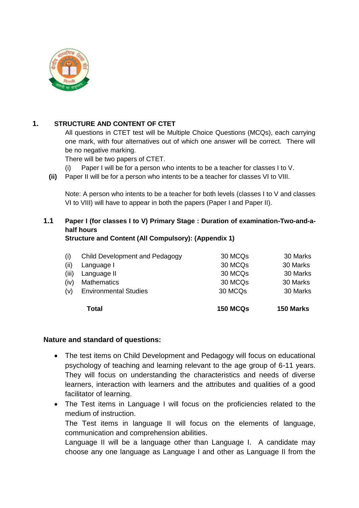

### **1. STRUCTURE AND CONTENT OF CTET**

All questions in CTET test will be Multiple Choice Questions (MCQs), each carrying one mark, with four alternatives out of which one answer will be correct. There will be no negative marking.

There will be two papers of CTET.

(i) Paper I will be for a person who intents to be a teacher for classes I to V.

**(ii)** Paper II will be for a person who intents to be a teacher for classes VI to VIII.

Note: A person who intents to be a teacher for both levels (classes I to V and classes VI to VIII) will have to appear in both the papers (Paper I and Paper II).

# **1.1 Paper I (for classes I to V) Primary Stage : Duration of examination-Two-and-ahalf hours**

**Structure and Content (All Compulsory): (Appendix 1)**

|       | <b>Total</b>                   | <b>150 MCQs</b> | 150 Marks |
|-------|--------------------------------|-----------------|-----------|
| (v)   | <b>Environmental Studies</b>   | 30 MCQs         | 30 Marks  |
| (iv)  | <b>Mathematics</b>             | 30 MCQs         | 30 Marks  |
| (iii) | Language II                    | 30 MCQs         | 30 Marks  |
| (ii)  | Language I                     | 30 MCQs         | 30 Marks  |
| (i)   | Child Development and Pedagogy | 30 MCQs         | 30 Marks  |
|       |                                |                 |           |

#### **Nature and standard of questions:**

- The test items on Child Development and Pedagogy will focus on educational psychology of teaching and learning relevant to the age group of 6-11 years. They will focus on understanding the characteristics and needs of diverse learners, interaction with learners and the attributes and qualities of a good facilitator of learning.
- The Test items in Language I will focus on the proficiencies related to the medium of instruction. The Test items in language II will focus on the elements of language,

communication and comprehension abilities. Language II will be a language other than Language I. A candidate may

choose any one language as Language I and other as Language II from the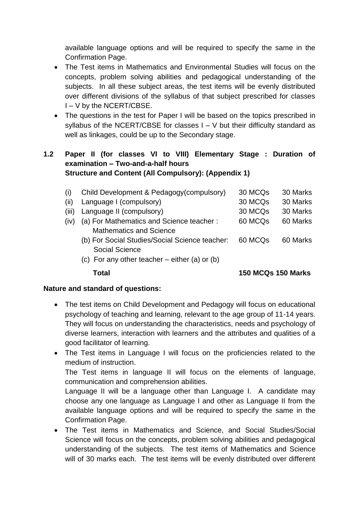available language options and will be required to specify the same in the Confirmation Page.

- The Test items in Mathematics and Environmental Studies will focus on the concepts, problem solving abilities and pedagogical understanding of the subjects. In all these subject areas, the test items will be evenly distributed over different divisions of the syllabus of that subject prescribed for classes I – V by the NCERT/CBSE.
- The questions in the test for Paper I will be based on the topics prescribed in syllabus of the NCERT/CBSE for classes  $I - V$  but their difficulty standard as well as linkages, could be up to the Secondary stage.

## **1.2 Paper II (for classes VI to VIII) Elementary Stage : Duration of examination – Two-and-a-half hours Structure and Content (All Compulsory): (Appendix 1)**

| (i)   | Child Development & Pedagogy(compulsory)        | 30 MCQ <sub>s</sub> | 30 Marks |
|-------|-------------------------------------------------|---------------------|----------|
| (ii)  | Language I (compulsory)                         | 30 MCQs             | 30 Marks |
| (iii) | Language II (compulsory)                        | 30 MCQ <sub>s</sub> | 30 Marks |
| (iv)  | (a) For Mathematics and Science teacher:        | 60 MCQs             | 60 Marks |
|       | <b>Mathematics and Science</b>                  |                     |          |
|       | (b) For Social Studies/Social Science teacher:  | 60 MCQ <sub>S</sub> | 60 Marks |
|       | <b>Social Science</b>                           |                     |          |
|       | (c) For any other teacher $-$ either (a) or (b) |                     |          |
|       |                                                 |                     |          |

 **Total 150 MCQs 150 Marks**

# **Nature and standard of questions:**

- The test items on Child Development and Pedagogy will focus on educational psychology of teaching and learning, relevant to the age group of 11-14 years. They will focus on understanding the characteristics, needs and psychology of diverse learners, interaction with learners and the attributes and qualities of a good facilitator of learning.
- The Test items in Language I will focus on the proficiencies related to the medium of instruction.

The Test items in language II will focus on the elements of language, communication and comprehension abilities.

Language II will be a language other than Language I. A candidate may choose any one language as Language I and other as Language II from the available language options and will be required to specify the same in the Confirmation Page.

 The Test items in Mathematics and Science, and Social Studies/Social Science will focus on the concepts, problem solving abilities and pedagogical understanding of the subjects. The test items of Mathematics and Science will of 30 marks each. The test items will be evenly distributed over different